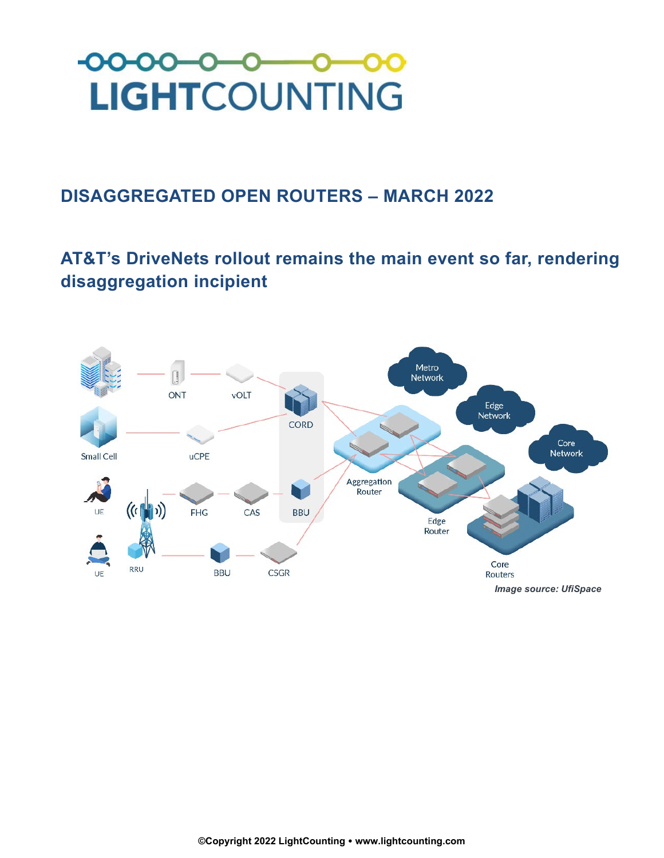

## **DISAGGREGATED OPEN ROUTERS – MARCH 2022**

## **AT&T's DriveNets rollout remains the main event so far, rendering disaggregation incipient**

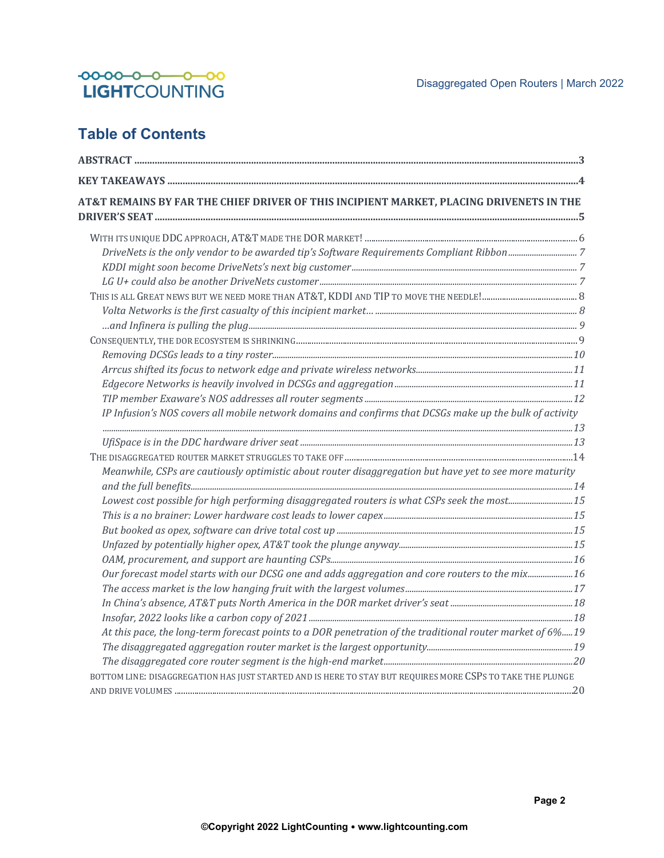

## **Table of Contents**

| AT&T REMAINS BY FAR THE CHIEF DRIVER OF THIS INCIPIENT MARKET, PLACING DRIVENETS IN THE                    |  |
|------------------------------------------------------------------------------------------------------------|--|
|                                                                                                            |  |
|                                                                                                            |  |
|                                                                                                            |  |
|                                                                                                            |  |
|                                                                                                            |  |
|                                                                                                            |  |
|                                                                                                            |  |
|                                                                                                            |  |
|                                                                                                            |  |
|                                                                                                            |  |
|                                                                                                            |  |
|                                                                                                            |  |
| IP Infusion's NOS covers all mobile network domains and confirms that DCSGs make up the bulk of activity   |  |
|                                                                                                            |  |
|                                                                                                            |  |
| Meanwhile, CSPs are cautiously optimistic about router disaggregation but have yet to see more maturity    |  |
|                                                                                                            |  |
| Lowest cost possible for high performing disaggregated routers is what CSPs seek the most15                |  |
|                                                                                                            |  |
|                                                                                                            |  |
|                                                                                                            |  |
|                                                                                                            |  |
| Our forecast model starts with our DCSG one and adds aggregation and core routers to the mix16             |  |
|                                                                                                            |  |
|                                                                                                            |  |
|                                                                                                            |  |
| At this pace, the long-term forecast points to a DOR penetration of the traditional router market of 6%19  |  |
|                                                                                                            |  |
|                                                                                                            |  |
| BOTTOM LINE: DISAGGREGATION HAS JUST STARTED AND IS HERE TO STAY BUT REQUIRES MORE CSPS TO TAKE THE PLUNGE |  |
|                                                                                                            |  |